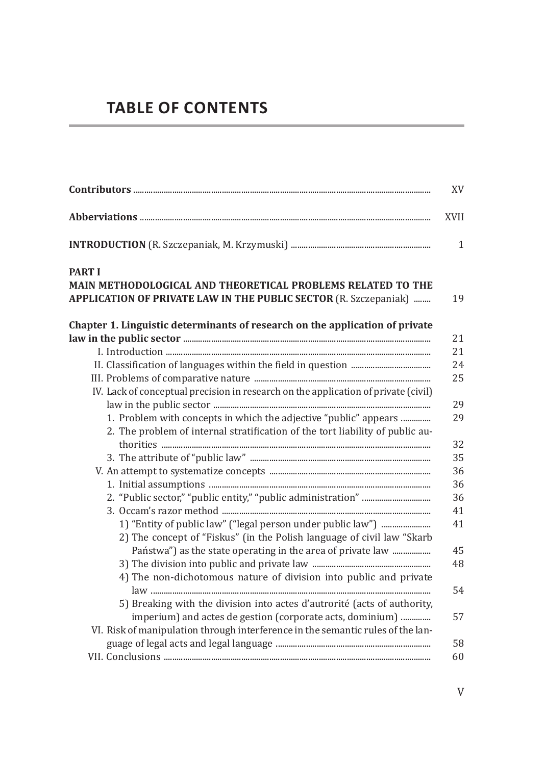## **TABLE OF CONTENTS**

| XV                                                                                                                                                            |
|---------------------------------------------------------------------------------------------------------------------------------------------------------------|
| <b>XVII</b>                                                                                                                                                   |
|                                                                                                                                                               |
| <b>PART I</b><br><b>MAIN METHODOLOGICAL AND THEORETICAL PROBLEMS RELATED TO THE</b><br>APPLICATION OF PRIVATE LAW IN THE PUBLIC SECTOR (R. Szczepaniak)<br>19 |
| Chapter 1. Linguistic determinants of research on the application of private<br>21                                                                            |
| 21                                                                                                                                                            |
| 24                                                                                                                                                            |
| 25                                                                                                                                                            |
| IV. Lack of conceptual precision in research on the application of private (civil)                                                                            |
| 29                                                                                                                                                            |
| 1. Problem with concepts in which the adjective "public" appears                                                                                              |
| 2. The problem of internal stratification of the tort liability of public au-<br>32                                                                           |
| 35                                                                                                                                                            |
| 36                                                                                                                                                            |
| 36                                                                                                                                                            |
| 36                                                                                                                                                            |
| 41                                                                                                                                                            |
| 41<br>2) The concept of "Fiskus" (in the Polish language of civil law "Skarb                                                                                  |
| Państwa") as the state operating in the area of private law<br>45                                                                                             |
| 48                                                                                                                                                            |
| 4) The non-dichotomous nature of division into public and private                                                                                             |
| 54                                                                                                                                                            |
| 5) Breaking with the division into actes d'autrorité (acts of authority,                                                                                      |
| imperium) and actes de gestion (corporate acts, dominium)<br>57                                                                                               |
| VI. Risk of manipulation through interference in the semantic rules of the lan-                                                                               |
| 58                                                                                                                                                            |
| 60                                                                                                                                                            |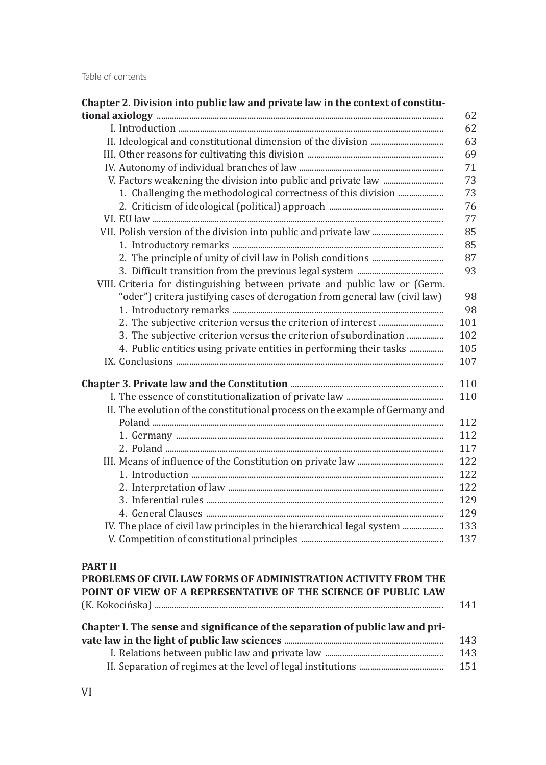| Chapter 2. Division into public law and private law in the context of constitu-<br>62                                                                      |
|------------------------------------------------------------------------------------------------------------------------------------------------------------|
| 62                                                                                                                                                         |
| 63                                                                                                                                                         |
| 69                                                                                                                                                         |
| 71                                                                                                                                                         |
|                                                                                                                                                            |
| 73                                                                                                                                                         |
| 73                                                                                                                                                         |
| 76                                                                                                                                                         |
| 77                                                                                                                                                         |
| 85                                                                                                                                                         |
| 85                                                                                                                                                         |
| 87                                                                                                                                                         |
| 93                                                                                                                                                         |
| VIII. Criteria for distinguishing between private and public law or (Germ.                                                                                 |
| "oder") critera justifying cases of derogation from general law (civil law)<br>98                                                                          |
| 98                                                                                                                                                         |
| 101                                                                                                                                                        |
| 3. The subjective criterion versus the criterion of subordination<br>102                                                                                   |
| 4. Public entities using private entities in performing their tasks<br>105                                                                                 |
| 107                                                                                                                                                        |
| 110                                                                                                                                                        |
| 110                                                                                                                                                        |
| II. The evolution of the constitutional process on the example of Germany and                                                                              |
| 112                                                                                                                                                        |
| 112                                                                                                                                                        |
| 117                                                                                                                                                        |
| 122                                                                                                                                                        |
| 122                                                                                                                                                        |
| 122                                                                                                                                                        |
| 129                                                                                                                                                        |
| 129                                                                                                                                                        |
| IV. The place of civil law principles in the hierarchical legal system<br>133                                                                              |
| 137                                                                                                                                                        |
|                                                                                                                                                            |
| <b>PART II</b><br>PROBLEMS OF CIVIL LAW FORMS OF ADMINISTRATION ACTIVITY FROM THE<br>POINT OF VIEW OF A REPRESENTATIVE OF THE SCIENCE OF PUBLIC LAW<br>141 |
| Chapter I. The sense and significance of the separation of public law and pri-                                                                             |

| 143 |
|-----|
| 143 |
| 151 |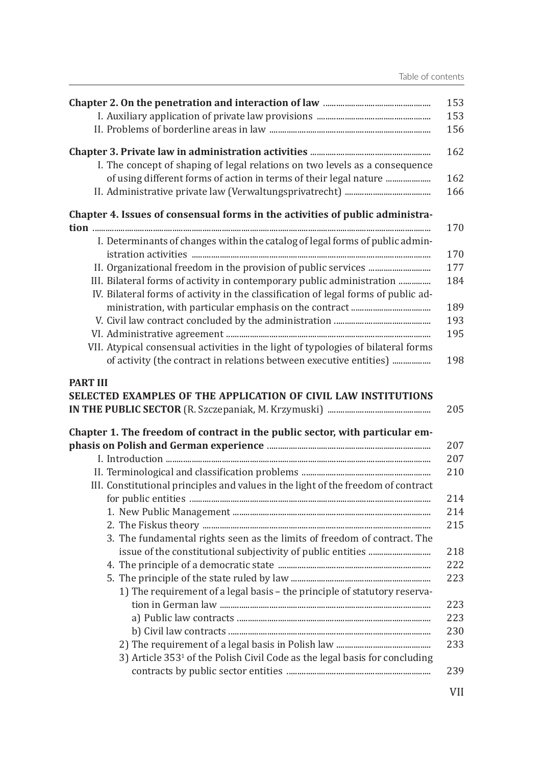|                                                                                        | 153 |
|----------------------------------------------------------------------------------------|-----|
|                                                                                        | 153 |
|                                                                                        | 156 |
|                                                                                        |     |
|                                                                                        | 162 |
| I. The concept of shaping of legal relations on two levels as a consequence            |     |
| of using different forms of action in terms of their legal nature                      | 162 |
|                                                                                        | 166 |
| Chapter 4. Issues of consensual forms in the activities of public administra-          | 170 |
| I. Determinants of changes within the catalog of legal forms of public admin-          | 170 |
|                                                                                        | 177 |
| III. Bilateral forms of activity in contemporary public administration                 | 184 |
| IV. Bilateral forms of activity in the classification of legal forms of public ad-     |     |
|                                                                                        | 189 |
|                                                                                        | 193 |
|                                                                                        | 195 |
| VII. Atypical consensual activities in the light of typologies of bilateral forms      |     |
| of activity (the contract in relations between executive entities)                     | 198 |
|                                                                                        |     |
| <b>PART III</b><br>SELECTED EXAMPLES OF THE APPLICATION OF CIVIL LAW INSTITUTIONS      | 205 |
|                                                                                        |     |
| Chapter 1. The freedom of contract in the public sector, with particular em-           | 207 |
|                                                                                        | 207 |
|                                                                                        | 210 |
| III. Constitutional principles and values in the light of the freedom of contract      |     |
|                                                                                        | 214 |
|                                                                                        | 214 |
|                                                                                        |     |
|                                                                                        | 215 |
| 3. The fundamental rights seen as the limits of freedom of contract. The               |     |
|                                                                                        | 218 |
|                                                                                        | 222 |
|                                                                                        | 223 |
| 1) The requirement of a legal basis - the principle of statutory reserva-              |     |
|                                                                                        | 223 |
|                                                                                        | 223 |
|                                                                                        | 230 |
|                                                                                        | 233 |
| 3) Article 353 <sup>1</sup> of the Polish Civil Code as the legal basis for concluding |     |
|                                                                                        | 239 |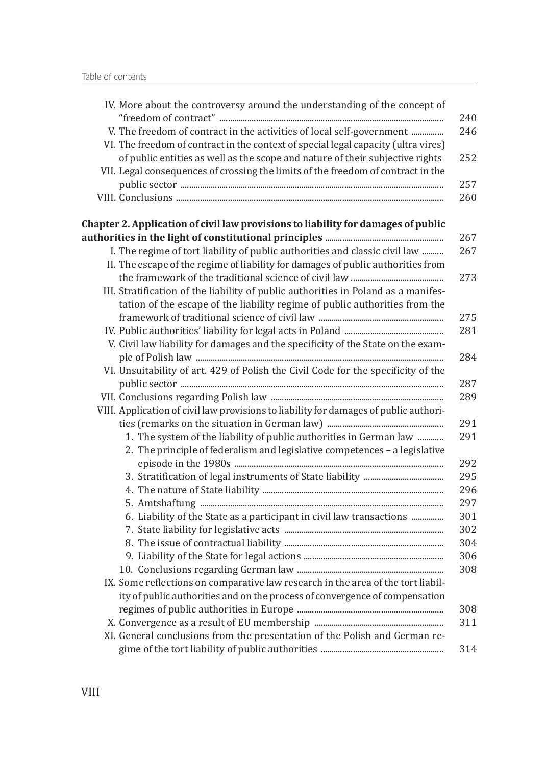| IV. More about the controversy around the understanding of the concept of                                                                                         |
|-------------------------------------------------------------------------------------------------------------------------------------------------------------------|
| V. The freedom of contract in the activities of local self-government                                                                                             |
| VI. The freedom of contract in the context of special legal capacity (ultra vires)                                                                                |
| of public entities as well as the scope and nature of their subjective rights<br>VII. Legal consequences of crossing the limits of the freedom of contract in the |
|                                                                                                                                                                   |
|                                                                                                                                                                   |
| Chapter 2. Application of civil law provisions to liability for damages of public                                                                                 |
|                                                                                                                                                                   |
| I. The regime of tort liability of public authorities and classic civil law                                                                                       |
| II. The escape of the regime of liability for damages of public authorities from                                                                                  |
|                                                                                                                                                                   |
| III. Stratification of the liability of public authorities in Poland as a manifes-<br>tation of the escape of the liability regime of public authorities from the |
|                                                                                                                                                                   |
|                                                                                                                                                                   |
| V. Civil law liability for damages and the specificity of the State on the exam-                                                                                  |
|                                                                                                                                                                   |
| VI. Unsuitability of art. 429 of Polish the Civil Code for the specificity of the                                                                                 |
|                                                                                                                                                                   |
|                                                                                                                                                                   |
| VIII. Application of civil law provisions to liability for damages of public authori-                                                                             |
|                                                                                                                                                                   |
| 1. The system of the liability of public authorities in German law                                                                                                |
| 2. The principle of federalism and legislative competences - a legislative                                                                                        |
|                                                                                                                                                                   |
|                                                                                                                                                                   |
|                                                                                                                                                                   |
| 6. Liability of the State as a participant in civil law transactions                                                                                              |
|                                                                                                                                                                   |
|                                                                                                                                                                   |
|                                                                                                                                                                   |
|                                                                                                                                                                   |
| IX. Some reflections on comparative law research in the area of the tort liabil-                                                                                  |
| ity of public authorities and on the process of convergence of compensation                                                                                       |
|                                                                                                                                                                   |
|                                                                                                                                                                   |
| XI. General conclusions from the presentation of the Polish and German re-                                                                                        |
|                                                                                                                                                                   |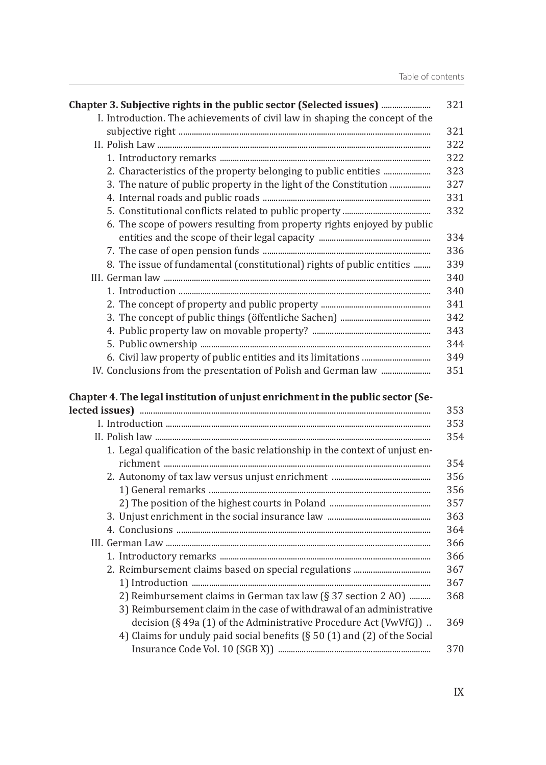| Chapter 3. Subjective rights in the public sector (Selected issues)             |
|---------------------------------------------------------------------------------|
| I. Introduction. The achievements of civil law in shaping the concept of the    |
|                                                                                 |
|                                                                                 |
|                                                                                 |
|                                                                                 |
| 3. The nature of public property in the light of the Constitution               |
|                                                                                 |
|                                                                                 |
| 6. The scope of powers resulting from property rights enjoyed by public         |
|                                                                                 |
|                                                                                 |
| 8. The issue of fundamental (constitutional) rights of public entities          |
|                                                                                 |
|                                                                                 |
|                                                                                 |
|                                                                                 |
|                                                                                 |
|                                                                                 |
|                                                                                 |
|                                                                                 |
|                                                                                 |
| Chapter 4. The legal institution of unjust enrichment in the public sector (Se- |
|                                                                                 |
|                                                                                 |
| 1. Legal qualification of the basic relationship in the context of unjust en-   |
|                                                                                 |
|                                                                                 |
|                                                                                 |
|                                                                                 |
|                                                                                 |
|                                                                                 |
|                                                                                 |
|                                                                                 |
|                                                                                 |
| 2) Reimbursement claims in German tax law (§ 37 section 2 A0)                   |
| 3) Reimbursement claim in the case of withdrawal of an administrative           |
| decision (§ 49a (1) of the Administrative Procedure Act (VwVfG))                |
| 4) Claims for unduly paid social benefits (§ 50 (1) and (2) of the Social       |
|                                                                                 |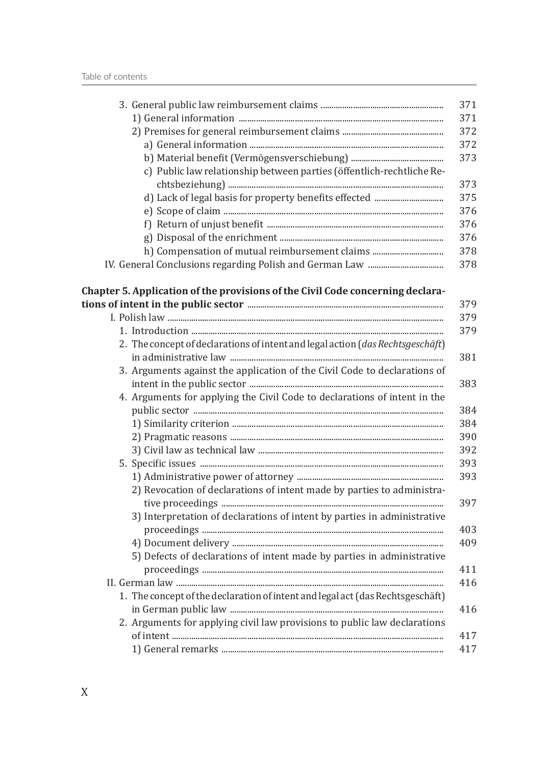| c) Public law relationship between parties (öffentlich-rechtliche Re-          |
|--------------------------------------------------------------------------------|
|                                                                                |
|                                                                                |
|                                                                                |
|                                                                                |
|                                                                                |
| h) Compensation of mutual reimbursement claims                                 |
|                                                                                |
|                                                                                |
| Chapter 5. Application of the provisions of the Civil Code concerning declara- |
|                                                                                |
|                                                                                |
|                                                                                |
| 2. The concept of declarations of intent and legal action (das Rechtsgeschäft) |
|                                                                                |
| 3. Arguments against the application of the Civil Code to declarations of      |
|                                                                                |
| 4. Arguments for applying the Civil Code to declarations of intent in the      |
|                                                                                |
|                                                                                |
|                                                                                |
|                                                                                |
|                                                                                |
|                                                                                |
| 2) Revocation of declarations of intent made by parties to administra-         |
| 3) Interpretation of declarations of intent by parties in administrative       |
|                                                                                |
| 5) Defects of declarations of intent made by parties in administrative         |
|                                                                                |
|                                                                                |
| 1. The concept of the declaration of intent and legal act (das Rechtsgeschäft) |
|                                                                                |
| 2. Arguments for applying civil law provisions to public law declarations      |
|                                                                                |
|                                                                                |
|                                                                                |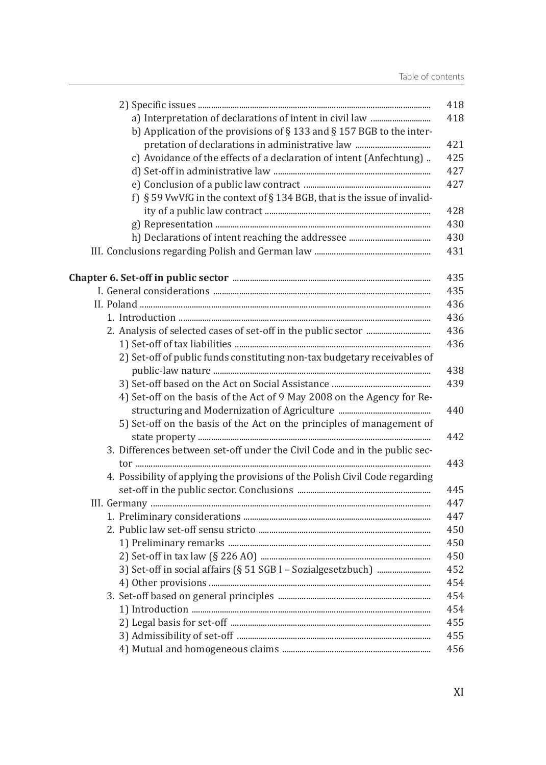| b) Application of the provisions of $\S$ 133 and $\S$ 157 BGB to the inter-  |
|------------------------------------------------------------------------------|
|                                                                              |
| c) Avoidance of the effects of a declaration of intent (Anfechtung)          |
|                                                                              |
|                                                                              |
| f) § 59 VwVfG in the context of § 134 BGB, that is the issue of invalid-     |
|                                                                              |
|                                                                              |
|                                                                              |
|                                                                              |
|                                                                              |
|                                                                              |
|                                                                              |
|                                                                              |
|                                                                              |
|                                                                              |
| 2) Set-off of public funds constituting non-tax budgetary receivables of     |
|                                                                              |
|                                                                              |
| 4) Set-off on the basis of the Act of 9 May 2008 on the Agency for Re-       |
|                                                                              |
| 5) Set-off on the basis of the Act on the principles of management of        |
|                                                                              |
| 3. Differences between set-off under the Civil Code and in the public sec-   |
|                                                                              |
| 4. Possibility of applying the provisions of the Polish Civil Code regarding |
|                                                                              |
|                                                                              |
|                                                                              |
|                                                                              |
|                                                                              |
|                                                                              |
|                                                                              |
|                                                                              |
|                                                                              |
|                                                                              |
|                                                                              |
|                                                                              |
|                                                                              |
|                                                                              |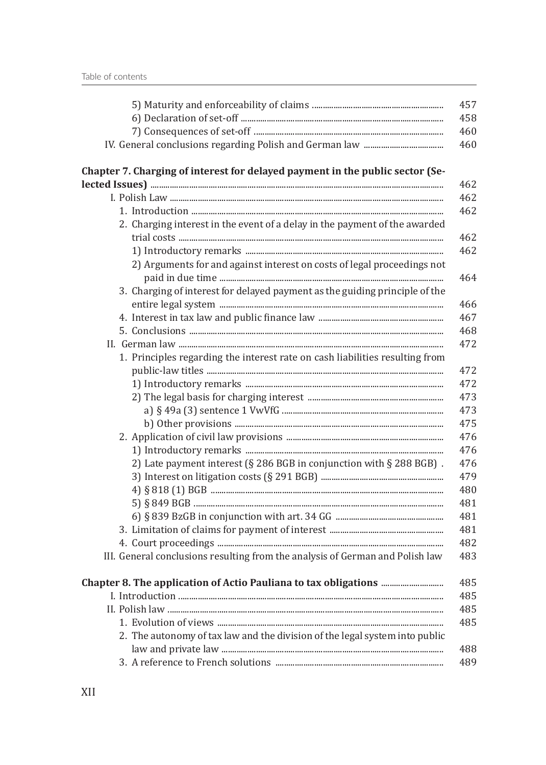| Chapter 7. Charging of interest for delayed payment in the public sector (Se- |
|-------------------------------------------------------------------------------|
|                                                                               |
|                                                                               |
|                                                                               |
| 2. Charging interest in the event of a delay in the payment of the awarded    |
|                                                                               |
| 2) Arguments for and against interest on costs of legal proceedings not       |
| 3. Charging of interest for delayed payment as the guiding principle of the   |
|                                                                               |
|                                                                               |
|                                                                               |
| 1. Principles regarding the interest rate on cash liabilities resulting from  |
|                                                                               |
|                                                                               |
|                                                                               |
|                                                                               |
|                                                                               |
|                                                                               |
|                                                                               |
| 2) Late payment interest (§ 286 BGB in conjunction with § 288 BGB).           |
|                                                                               |
|                                                                               |
|                                                                               |
|                                                                               |
|                                                                               |
|                                                                               |
| III. General conclusions resulting from the analysis of German and Polish law |
|                                                                               |
|                                                                               |
|                                                                               |
|                                                                               |
| 2. The autonomy of tax law and the division of the legal system into public   |
|                                                                               |
|                                                                               |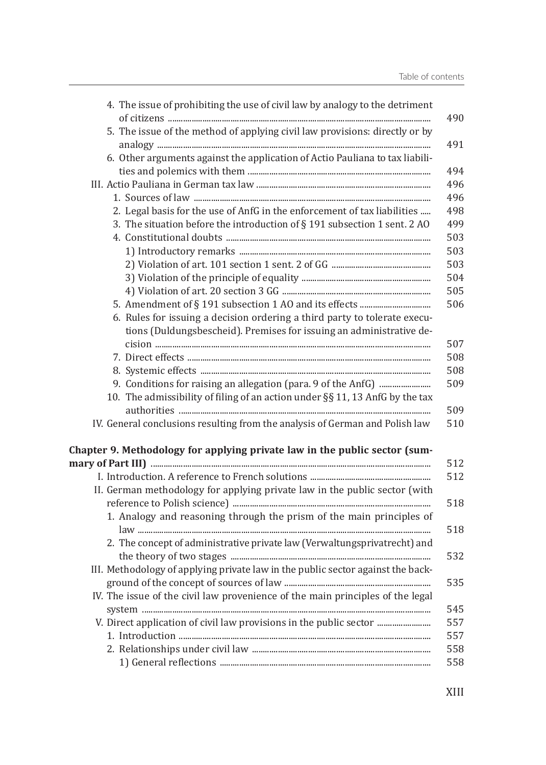| 4. The issue of prohibiting the use of civil law by analogy to the detriment    |
|---------------------------------------------------------------------------------|
| 5. The issue of the method of applying civil law provisions: directly or by     |
|                                                                                 |
| 6. Other arguments against the application of Actio Pauliana to tax liabili-    |
|                                                                                 |
|                                                                                 |
|                                                                                 |
| 2. Legal basis for the use of AnfG in the enforcement of tax liabilities        |
| 3. The situation before the introduction of § 191 subsection 1 sent. 2 AO       |
|                                                                                 |
|                                                                                 |
|                                                                                 |
|                                                                                 |
|                                                                                 |
|                                                                                 |
| 6. Rules for issuing a decision ordering a third party to tolerate execu-       |
| tions (Duldungsbescheid). Premises for issuing an administrative de-            |
|                                                                                 |
|                                                                                 |
|                                                                                 |
|                                                                                 |
| 10. The admissibility of filing of an action under §§ 11, 13 AnfG by the tax    |
|                                                                                 |
| IV. General conclusions resulting from the analysis of German and Polish law    |
| Chapter 9. Methodology for applying private law in the public sector (sum-      |
|                                                                                 |
|                                                                                 |
| II. German methodology for applying private law in the public sector (with      |
|                                                                                 |
| 1. Analogy and reasoning through the prism of the main principles of            |
|                                                                                 |
| 2. The concept of administrative private law (Verwaltungsprivatrecht) and       |
|                                                                                 |
| III. Methodology of applying private law in the public sector against the back- |
|                                                                                 |
| IV. The issue of the civil law provenience of the main principles of the legal  |
|                                                                                 |
| V. Direct application of civil law provisions in the public sector              |
|                                                                                 |
|                                                                                 |
|                                                                                 |
|                                                                                 |